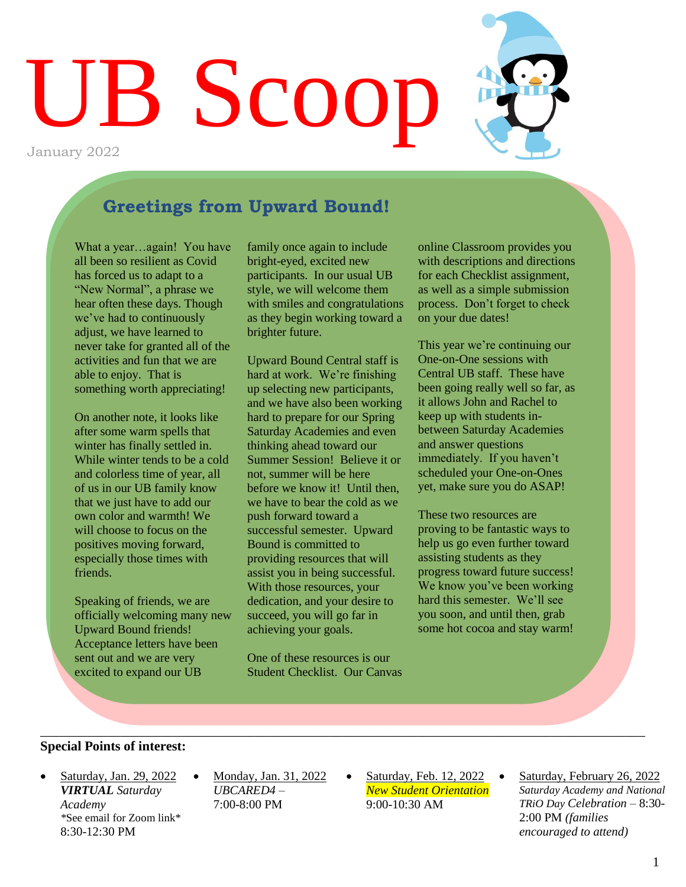

## **Greetings from Upward Bound!**

What a year…again! You have all been so resilient as Covid has forced us to adapt to a "New Normal", a phrase we hear often these days. Though we've had to continuously adjust, we have learned to never take for granted all of the activities and fun that we are able to enjoy. That is something worth appreciating!

On another note, it looks like after some warm spells that winter has finally settled in. While winter tends to be a cold and colorless time of year, all of us in our UB family know that we just have to add our own color and warmth! We will choose to focus on the positives moving forward, especially those times with friends.

Speaking of friends, we are officially welcoming many new Upward Bound friends! Acceptance letters have been sent out and we are very excited to expand our UB

family once again to include bright-eyed, excited new participants. In our usual UB style, we will welcome them with smiles and congratulations as they begin working toward a brighter future.

Upward Bound Central staff is hard at work. We're finishing up selecting new participants, and we have also been working hard to prepare for our Spring Saturday Academies and even thinking ahead toward our Summer Session! Believe it or not, summer will be here before we know it! Until then, we have to bear the cold as we push forward toward a successful semester. Upward Bound is committed to providing resources that will assist you in being successful. With those resources, your dedication, and your desire to succeed, you will go far in achieving your goals.

One of these resources is our Student Checklist. Our Canvas

\_\_\_\_\_\_\_\_\_\_\_\_\_\_\_\_\_\_\_\_\_\_\_\_\_\_\_\_\_\_\_\_\_\_\_\_\_\_\_\_\_\_\_\_\_\_\_\_\_\_\_\_\_\_\_\_\_\_\_\_\_\_\_\_\_\_\_\_\_\_\_\_\_\_\_\_\_\_\_\_\_\_\_\_\_\_\_\_\_\_

online Classroom provides you with descriptions and directions for each Checklist assignment, as well as a simple submission process. Don't forget to check on your due dates!

This year we're continuing our One-on-One sessions with Central UB staff. These have been going really well so far, as it allows John and Rachel to keep up with students inbetween Saturday Academies and answer questions immediately. If you haven't scheduled your One-on-Ones yet, make sure you do ASAP!

These two resources are proving to be fantastic ways to help us go even further toward assisting students as they progress toward future success! We know you've been working hard this semester. We'll see you soon, and until then, grab some hot cocoa and stay warm!

#### **Special Points of interest:**

- Saturday, Jan. 29, 2022 *VIRTUAL Saturday Academy \**See email for Zoom link\* 8:30-12:30 PM
- Monday, Jan. 31, 2022 *UBCARED4 –* 7:00-8:00 PM
- Saturday, Feb. 12, 2022 *New Student Orientation* 9:00-10:30 AM
- Saturday, February 26, 2022 *Saturday Academy and National TRiO Day Celebration –* 8:30- 2:00 PM *(families encouraged to attend)*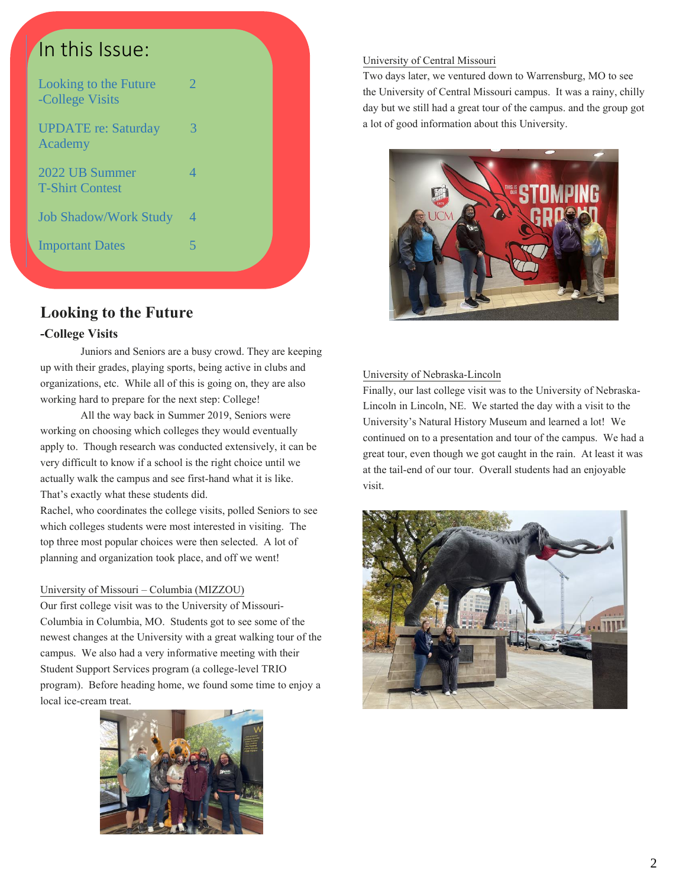| In this Issue:                           |                |
|------------------------------------------|----------------|
| Looking to the Future<br>-College Visits | $\overline{2}$ |
| <b>UPDATE</b> re: Saturday<br>Academy    | 3              |
| 2022 UB Summer<br><b>T-Shirt Contest</b> | $\overline{4}$ |
| <b>Job Shadow/Work Study</b>             | 4              |
| <b>Important Dates</b>                   | 5              |
|                                          |                |

## **Looking to the Future**

### **-College Visits**

Juniors and Seniors are a busy crowd. They are keeping up with their grades, playing sports, being active in clubs and organizations, etc. While all of this is going on, they are also working hard to prepare for the next step: College!

All the way back in Summer 2019, Seniors were working on choosing which colleges they would eventually apply to. Though research was conducted extensively, it can be very difficult to know if a school is the right choice until we actually walk the campus and see first-hand what it is like. That's exactly what these students did.

Rachel, who coordinates the college visits, polled Seniors to see which colleges students were most interested in visiting. The top three most popular choices were then selected. A lot of planning and organization took place, and off we went!

#### University of Missouri – Columbia (MIZZOU)

Our first college visit was to the University of Missouri-Columbia in Columbia, MO. Students got to see some of the newest changes at the University with a great walking tour of the campus. We also had a very informative meeting with their Student Support Services program (a college-level TRIO program). Before heading home, we found some time to enjoy a local ice-cream treat.



#### University of Central Missouri

Two days later, we ventured down to Warrensburg, MO to see the University of Central Missouri campus. It was a rainy, chilly day but we still had a great tour of the campus. and the group got a lot of good information about this University.



#### University of Nebraska-Lincoln

Finally, our last college visit was to the University of Nebraska-Lincoln in Lincoln, NE. We started the day with a visit to the University's Natural History Museum and learned a lot! We continued on to a presentation and tour of the campus. We had a great tour, even though we got caught in the rain. At least it was at the tail-end of our tour. Overall students had an enjoyable visit.

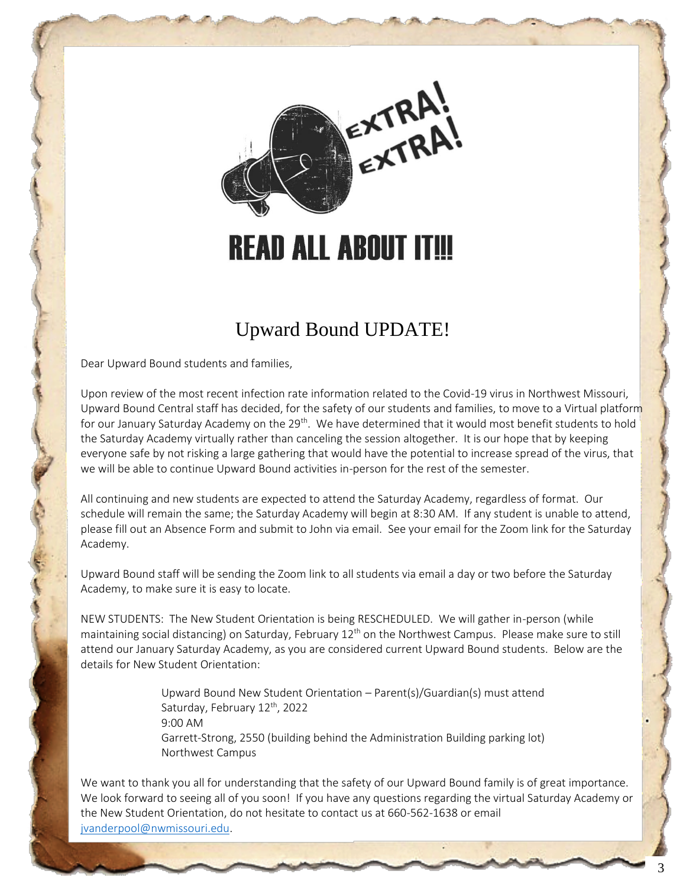

# **READ ALL ABOUT IT!!!**

# Upward Bound UPDATE!

Dear Upward Bound students and families,

Upon review of the most recent infection rate information related to the Covid-19 virus in Northwest Missouri, Upward Bound Central staff has decided, for the safety of our students and families, to move to a Virtual platform for our January Saturday Academy on the 29<sup>th</sup>. We have determined that it would most benefit students to hold the Saturday Academy virtually rather than canceling the session altogether. It is our hope that by keeping everyone safe by not risking a large gathering that would have the potential to increase spread of the virus, that we will be able to continue Upward Bound activities in-person for the rest of the semester.

All continuing and new students are expected to attend the Saturday Academy, regardless of format. Our schedule will remain the same; the Saturday Academy will begin at 8:30 AM. If any student is unable to attend, please fill out an Absence Form and submit to John via email. See your email for the Zoom link for the Saturday Academy.

Upward Bound staff will be sending the Zoom link to all students via email a day or two before the Saturday Academy, to make sure it is easy to locate.

NEW STUDENTS: The New Student Orientation is being RESCHEDULED. We will gather in-person (while maintaining social distancing) on Saturday, February 12<sup>th</sup> on the Northwest Campus. Please make sure to still attend our January Saturday Academy, as you are considered current Upward Bound students. Below are the details for New Student Orientation:

> Upward Bound New Student Orientation – Parent(s)/Guardian(s) must attend Saturday, February 12<sup>th</sup>, 2022 9:00 AM Garrett-Strong, 2550 (building behind the Administration Building parking lot) Northwest Campus

We want to thank you all for understanding that the safety of our Upward Bound family is of great importance. We look forward to seeing all of you soon! If you have any questions regarding the virtual Saturday Academy or the New Student Orientation, do not hesitate to contact us at 660-562-1638 or email [jvanderpool@nwmissouri.edu.](mailto:jvanderpool@nwmissouri.edu)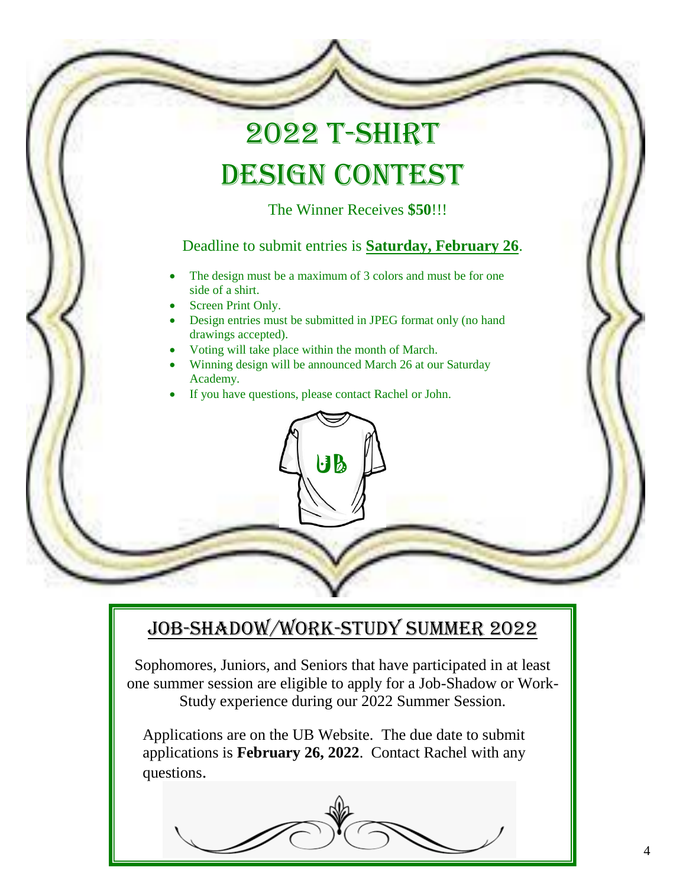# 2022 T-Shirt DESIGN CONTEST

The Winner Receives **\$50**!!!

## Deadline to submit entries is **Saturday, February 26**.

- The design must be a maximum of 3 colors and must be for one side of a shirt.
- Screen Print Only.
- Design entries must be submitted in JPEG format only (no hand drawings accepted).
- Voting will take place within the month of March.
- Winning design will be announced March 26 at our Saturday Academy.

 $\mathbf{B}$ 

If you have questions, please contact Rachel or John.

# Job-Shadow/Work-Study Summer 2022

Sophomores, Juniors, and Seniors that have participated in at least one summer session are eligible to apply for a Job-Shadow or Work-Study experience during our 2022 Summer Session.

Applications are on the UB Website. The due date to submit applications is **February 26, 2022**. Contact Rachel with any questions.